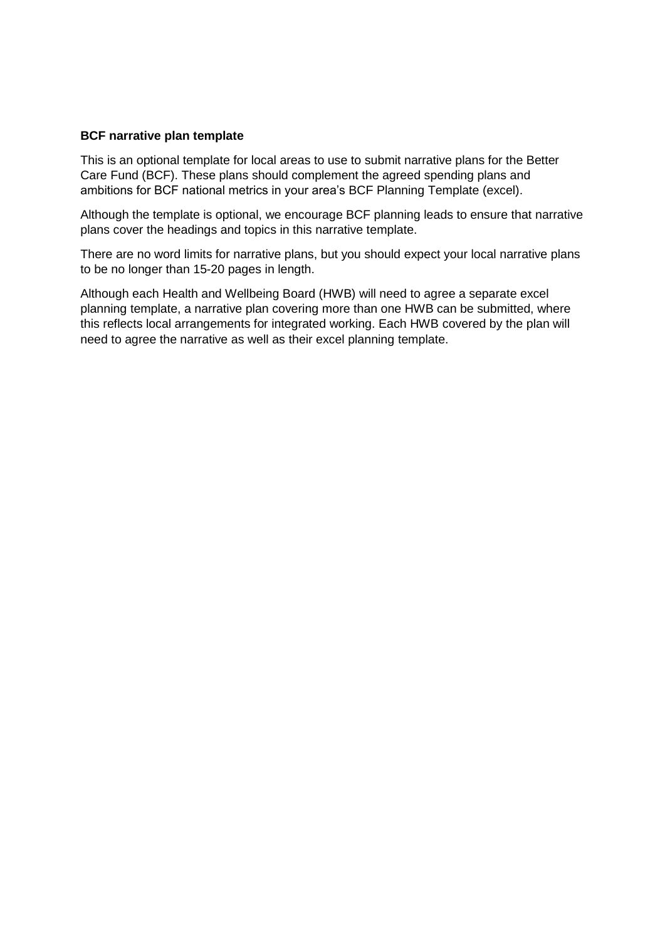#### **BCF narrative plan template**

This is an optional template for local areas to use to submit narrative plans for the Better Care Fund (BCF). These plans should complement the agreed spending plans and ambitions for BCF national metrics in your area's BCF Planning Template (excel).

Although the template is optional, we encourage BCF planning leads to ensure that narrative plans cover the headings and topics in this narrative template.

There are no word limits for narrative plans, but you should expect your local narrative plans to be no longer than 15-20 pages in length.

Although each Health and Wellbeing Board (HWB) will need to agree a separate excel planning template, a narrative plan covering more than one HWB can be submitted, where this reflects local arrangements for integrated working. Each HWB covered by the plan will need to agree the narrative as well as their excel planning template.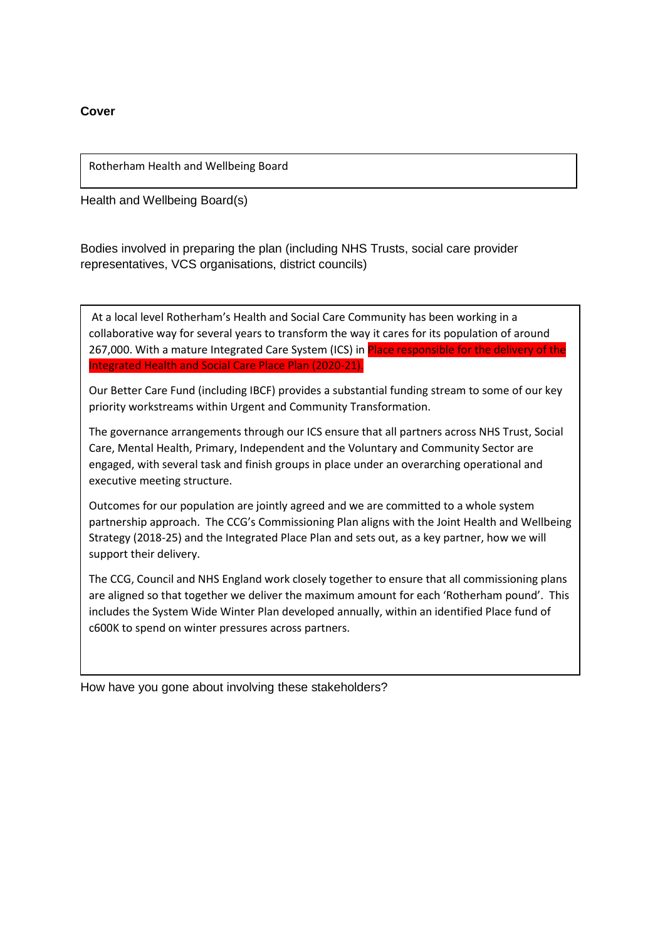**Cover**

Rotherham Health and Wellbeing Board

Health and Wellbeing Board(s)

Bodies involved in preparing the plan (including NHS Trusts, social care provider representatives, VCS organisations, district councils)

At a local level Rotherham's Health and Social Care Community has been working in a collaborative way for several years to transform the way it cares for its population of around 267,000. With a mature Integrated Care System (ICS) in Place responsible for the delivery of the Integrated Health and Social Care Place Plan (2020-21).

Our Better Care Fund (including IBCF) provides a substantial funding stream to some of our key priority workstreams within Urgent and Community Transformation.

The governance arrangements through our ICS ensure that all partners across NHS Trust, Social Care, Mental Health, Primary, Independent and the Voluntary and Community Sector are engaged, with several task and finish groups in place under an overarching operational and executive meeting structure.

Outcomes for our population are jointly agreed and we are committed to a whole system partnership approach. The CCG's Commissioning Plan aligns with the Joint Health and Wellbeing Strategy (2018-25) and the Integrated Place Plan and sets out, as a key partner, how we will support their delivery.

The CCG, Council and NHS England work closely together to ensure that all commissioning plans are aligned so that together we deliver the maximum amount for each 'Rotherham pound'. This includes the System Wide Winter Plan developed annually, within an identified Place fund of c600K to spend on winter pressures across partners.

How have you gone about involving these stakeholders?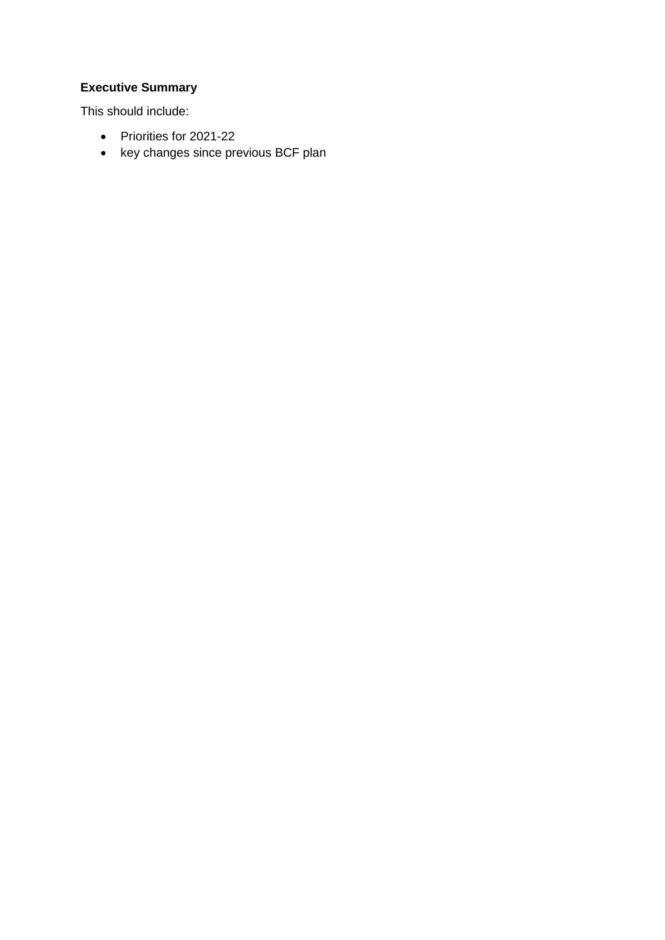# **Executive Summary**

This should include:

- Priorities for 2021-22
- key changes since previous BCF plan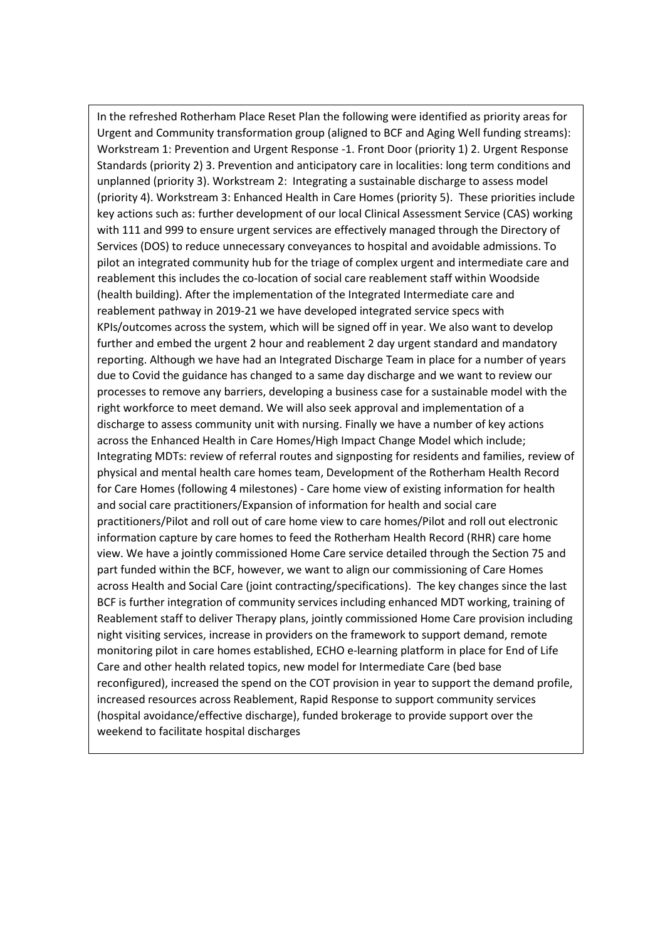In the refreshed Rotherham Place Reset Plan the following were identified as priority areas for Urgent and Community transformation group (aligned to BCF and Aging Well funding streams): Workstream 1: Prevention and Urgent Response -1. Front Door (priority 1) 2. Urgent Response Standards (priority 2) 3. Prevention and anticipatory care in localities: long term conditions and unplanned (priority 3). Workstream 2: Integrating a sustainable discharge to assess model (priority 4). Workstream 3: Enhanced Health in Care Homes (priority 5). These priorities include key actions such as: further development of our local Clinical Assessment Service (CAS) working with 111 and 999 to ensure urgent services are effectively managed through the Directory of Services (DOS) to reduce unnecessary conveyances to hospital and avoidable admissions. To pilot an integrated community hub for the triage of complex urgent and intermediate care and reablement this includes the co-location of social care reablement staff within Woodside (health building). After the implementation of the Integrated Intermediate care and reablement pathway in 2019-21 we have developed integrated service specs with KPIs/outcomes across the system, which will be signed off in year. We also want to develop further and embed the urgent 2 hour and reablement 2 day urgent standard and mandatory reporting. Although we have had an Integrated Discharge Team in place for a number of years due to Covid the guidance has changed to a same day discharge and we want to review our processes to remove any barriers, developing a business case for a sustainable model with the right workforce to meet demand. We will also seek approval and implementation of a discharge to assess community unit with nursing. Finally we have a number of key actions across the Enhanced Health in Care Homes/High Impact Change Model which include; Integrating MDTs: review of referral routes and signposting for residents and families, review of physical and mental health care homes team, Development of the Rotherham Health Record for Care Homes (following 4 milestones) - Care home view of existing information for health and social care practitioners/Expansion of information for health and social care practitioners/Pilot and roll out of care home view to care homes/Pilot and roll out electronic information capture by care homes to feed the Rotherham Health Record (RHR) care home view. We have a jointly commissioned Home Care service detailed through the Section 75 and part funded within the BCF, however, we want to align our commissioning of Care Homes across Health and Social Care (joint contracting/specifications). The key changes since the last BCF is further integration of community services including enhanced MDT working, training of Reablement staff to deliver Therapy plans, jointly commissioned Home Care provision including night visiting services, increase in providers on the framework to support demand, remote monitoring pilot in care homes established, ECHO e-learning platform in place for End of Life Care and other health related topics, new model for Intermediate Care (bed base reconfigured), increased the spend on the COT provision in year to support the demand profile, increased resources across Reablement, Rapid Response to support community services (hospital avoidance/effective discharge), funded brokerage to provide support over the weekend to facilitate hospital discharges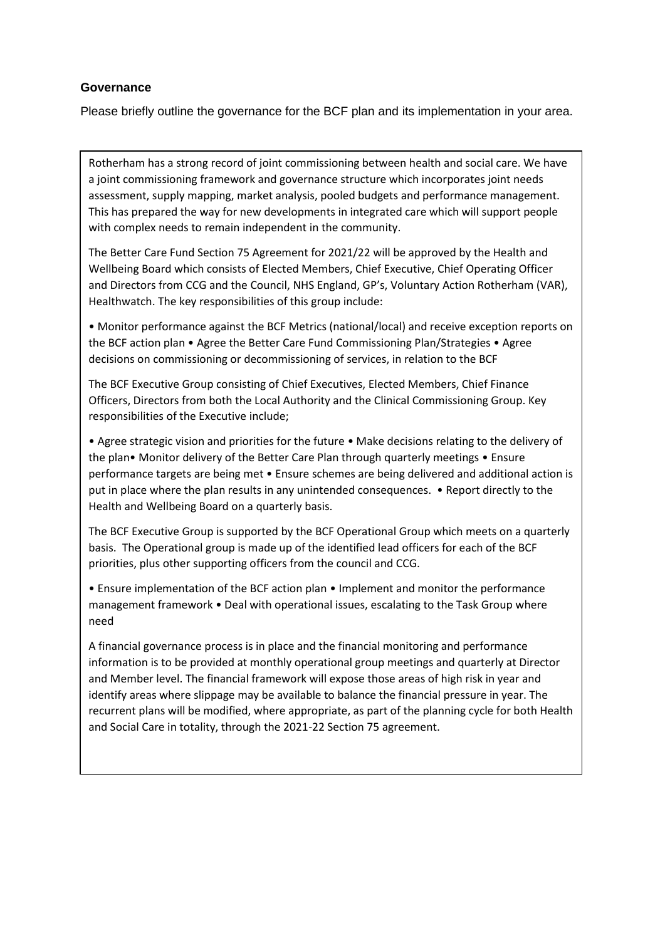## **Governance**

Please briefly outline the governance for the BCF plan and its implementation in your area.

Rotherham has a strong record of joint commissioning between health and social care. We have a joint commissioning framework and governance structure which incorporates joint needs assessment, supply mapping, market analysis, pooled budgets and performance management. This has prepared the way for new developments in integrated care which will support people with complex needs to remain independent in the community.

The Better Care Fund Section 75 Agreement for 2021/22 will be approved by the Health and Wellbeing Board which consists of Elected Members, Chief Executive, Chief Operating Officer and Directors from CCG and the Council, NHS England, GP's, Voluntary Action Rotherham (VAR), Healthwatch. The key responsibilities of this group include:

• Monitor performance against the BCF Metrics (national/local) and receive exception reports on the BCF action plan • Agree the Better Care Fund Commissioning Plan/Strategies • Agree decisions on commissioning or decommissioning of services, in relation to the BCF

The BCF Executive Group consisting of Chief Executives, Elected Members, Chief Finance Officers, Directors from both the Local Authority and the Clinical Commissioning Group. Key responsibilities of the Executive include;

• Agree strategic vision and priorities for the future • Make decisions relating to the delivery of the plan• Monitor delivery of the Better Care Plan through quarterly meetings • Ensure performance targets are being met • Ensure schemes are being delivered and additional action is put in place where the plan results in any unintended consequences. • Report directly to the Health and Wellbeing Board on a quarterly basis.

The BCF Executive Group is supported by the BCF Operational Group which meets on a quarterly basis. The Operational group is made up of the identified lead officers for each of the BCF priorities, plus other supporting officers from the council and CCG.

• Ensure implementation of the BCF action plan • Implement and monitor the performance management framework • Deal with operational issues, escalating to the Task Group where need

A financial governance process is in place and the financial monitoring and performance information is to be provided at monthly operational group meetings and quarterly at Director and Member level. The financial framework will expose those areas of high risk in year and identify areas where slippage may be available to balance the financial pressure in year. The recurrent plans will be modified, where appropriate, as part of the planning cycle for both Health and Social Care in totality, through the 2021-22 Section 75 agreement.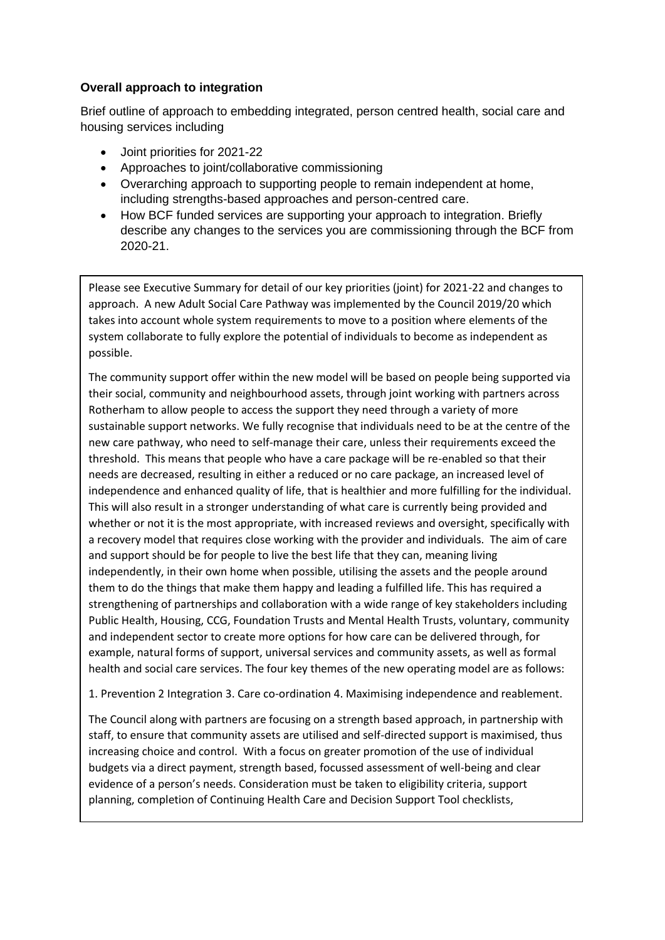## **Overall approach to integration**

Brief outline of approach to embedding integrated, person centred health, social care and housing services including

- Joint priorities for 2021-22
- Approaches to joint/collaborative commissioning
- Overarching approach to supporting people to remain independent at home, including strengths-based approaches and person-centred care.
- How BCF funded services are supporting your approach to integration. Briefly describe any changes to the services you are commissioning through the BCF from 2020-21.

Please see Executive Summary for detail of our key priorities (joint) for 2021-22 and changes to approach. A new Adult Social Care Pathway was implemented by the Council 2019/20 which takes into account whole system requirements to move to a position where elements of the system collaborate to fully explore the potential of individuals to become as independent as possible.

The community support offer within the new model will be based on people being supported via their social, community and neighbourhood assets, through joint working with partners across Rotherham to allow people to access the support they need through a variety of more sustainable support networks. We fully recognise that individuals need to be at the centre of the new care pathway, who need to self-manage their care, unless their requirements exceed the threshold. This means that people who have a care package will be re-enabled so that their needs are decreased, resulting in either a reduced or no care package, an increased level of independence and enhanced quality of life, that is healthier and more fulfilling for the individual. This will also result in a stronger understanding of what care is currently being provided and whether or not it is the most appropriate, with increased reviews and oversight, specifically with a recovery model that requires close working with the provider and individuals. The aim of care and support should be for people to live the best life that they can, meaning living independently, in their own home when possible, utilising the assets and the people around them to do the things that make them happy and leading a fulfilled life. This has required a strengthening of partnerships and collaboration with a wide range of key stakeholders including Public Health, Housing, CCG, Foundation Trusts and Mental Health Trusts, voluntary, community and independent sector to create more options for how care can be delivered through, for example, natural forms of support, universal services and community assets, as well as formal health and social care services. The four key themes of the new operating model are as follows:

1. Prevention 2 Integration 3. Care co-ordination 4. Maximising independence and reablement.

The Council along with partners are focusing on a strength based approach, in partnership with staff, to ensure that community assets are utilised and self-directed support is maximised, thus increasing choice and control. With a focus on greater promotion of the use of individual budgets via a direct payment, strength based, focussed assessment of well-being and clear evidence of a person's needs. Consideration must be taken to eligibility criteria, support planning, completion of Continuing Health Care and Decision Support Tool checklists,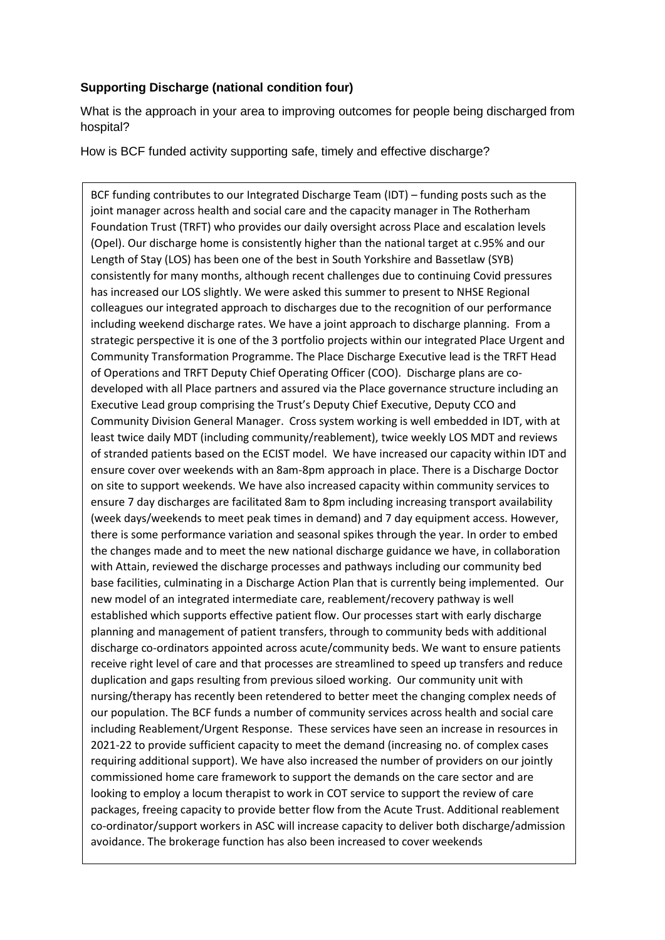## **Supporting Discharge (national condition four)**

What is the approach in your area to improving outcomes for people being discharged from hospital?

How is BCF funded activity supporting safe, timely and effective discharge?

BCF funding contributes to our Integrated Discharge Team (IDT) – funding posts such as the joint manager across health and social care and the capacity manager in The Rotherham Foundation Trust (TRFT) who provides our daily oversight across Place and escalation levels (Opel). Our discharge home is consistently higher than the national target at c.95% and our Length of Stay (LOS) has been one of the best in South Yorkshire and Bassetlaw (SYB) consistently for many months, although recent challenges due to continuing Covid pressures has increased our LOS slightly. We were asked this summer to present to NHSE Regional colleagues our integrated approach to discharges due to the recognition of our performance including weekend discharge rates. We have a joint approach to discharge planning. From a strategic perspective it is one of the 3 portfolio projects within our integrated Place Urgent and Community Transformation Programme. The Place Discharge Executive lead is the TRFT Head of Operations and TRFT Deputy Chief Operating Officer (COO). Discharge plans are codeveloped with all Place partners and assured via the Place governance structure including an Executive Lead group comprising the Trust's Deputy Chief Executive, Deputy CCO and Community Division General Manager. Cross system working is well embedded in IDT, with at least twice daily MDT (including community/reablement), twice weekly LOS MDT and reviews of stranded patients based on the ECIST model. We have increased our capacity within IDT and ensure cover over weekends with an 8am-8pm approach in place. There is a Discharge Doctor on site to support weekends. We have also increased capacity within community services to ensure 7 day discharges are facilitated 8am to 8pm including increasing transport availability (week days/weekends to meet peak times in demand) and 7 day equipment access. However, there is some performance variation and seasonal spikes through the year. In order to embed the changes made and to meet the new national discharge guidance we have, in collaboration with Attain, reviewed the discharge processes and pathways including our community bed base facilities, culminating in a Discharge Action Plan that is currently being implemented. Our new model of an integrated intermediate care, reablement/recovery pathway is well established which supports effective patient flow. Our processes start with early discharge planning and management of patient transfers, through to community beds with additional discharge co-ordinators appointed across acute/community beds. We want to ensure patients receive right level of care and that processes are streamlined to speed up transfers and reduce duplication and gaps resulting from previous siloed working. Our community unit with nursing/therapy has recently been retendered to better meet the changing complex needs of our population. The BCF funds a number of community services across health and social care including Reablement/Urgent Response. These services have seen an increase in resources in 2021-22 to provide sufficient capacity to meet the demand (increasing no. of complex cases requiring additional support). We have also increased the number of providers on our jointly commissioned home care framework to support the demands on the care sector and are looking to employ a locum therapist to work in COT service to support the review of care packages, freeing capacity to provide better flow from the Acute Trust. Additional reablement co-ordinator/support workers in ASC will increase capacity to deliver both discharge/admission avoidance. The brokerage function has also been increased to cover weekends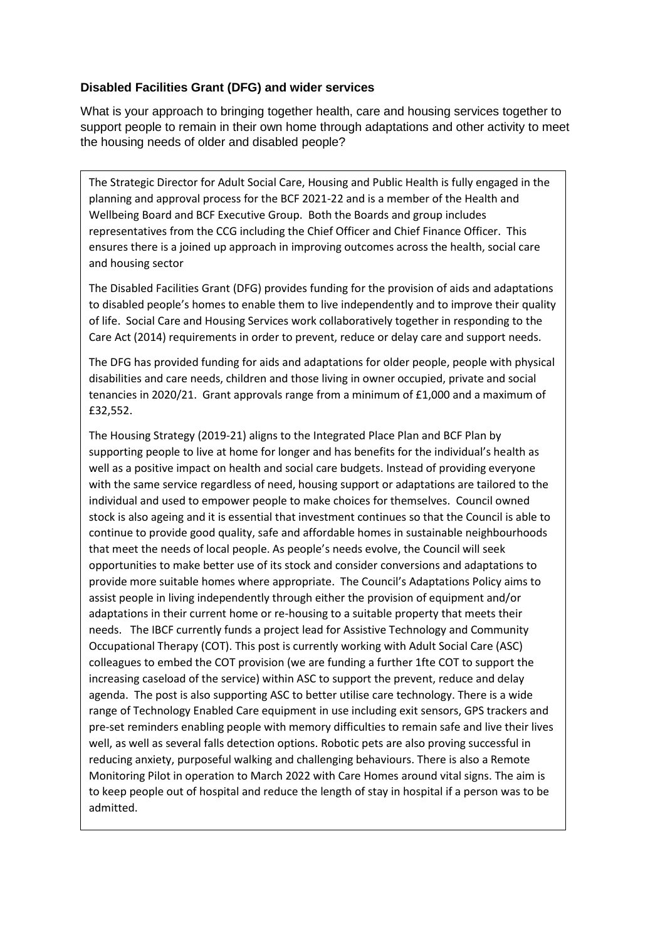## **Disabled Facilities Grant (DFG) and wider services**

What is your approach to bringing together health, care and housing services together to support people to remain in their own home through adaptations and other activity to meet the housing needs of older and disabled people?

The Strategic Director for Adult Social Care, Housing and Public Health is fully engaged in the planning and approval process for the BCF 2021-22 and is a member of the Health and Wellbeing Board and BCF Executive Group. Both the Boards and group includes representatives from the CCG including the Chief Officer and Chief Finance Officer. This ensures there is a joined up approach in improving outcomes across the health, social care and housing sector

The Disabled Facilities Grant (DFG) provides funding for the provision of aids and adaptations to disabled people's homes to enable them to live independently and to improve their quality of life. Social Care and Housing Services work collaboratively together in responding to the Care Act (2014) requirements in order to prevent, reduce or delay care and support needs.

The DFG has provided funding for aids and adaptations for older people, people with physical disabilities and care needs, children and those living in owner occupied, private and social tenancies in 2020/21. Grant approvals range from a minimum of £1,000 and a maximum of £32,552.

The Housing Strategy (2019-21) aligns to the Integrated Place Plan and BCF Plan by supporting people to live at home for longer and has benefits for the individual's health as well as a positive impact on health and social care budgets. Instead of providing everyone with the same service regardless of need, housing support or adaptations are tailored to the individual and used to empower people to make choices for themselves. Council owned stock is also ageing and it is essential that investment continues so that the Council is able to continue to provide good quality, safe and affordable homes in sustainable neighbourhoods that meet the needs of local people. As people's needs evolve, the Council will seek opportunities to make better use of its stock and consider conversions and adaptations to provide more suitable homes where appropriate. The Council's Adaptations Policy aims to assist people in living independently through either the provision of equipment and/or adaptations in their current home or re-housing to a suitable property that meets their needs. The IBCF currently funds a project lead for Assistive Technology and Community Occupational Therapy (COT). This post is currently working with Adult Social Care (ASC) colleagues to embed the COT provision (we are funding a further 1fte COT to support the increasing caseload of the service) within ASC to support the prevent, reduce and delay agenda. The post is also supporting ASC to better utilise care technology. There is a wide range of Technology Enabled Care equipment in use including exit sensors, GPS trackers and pre-set reminders enabling people with memory difficulties to remain safe and live their lives well, as well as several falls detection options. Robotic pets are also proving successful in reducing anxiety, purposeful walking and challenging behaviours. There is also a Remote Monitoring Pilot in operation to March 2022 with Care Homes around vital signs. The aim is to keep people out of hospital and reduce the length of stay in hospital if a person was to be admitted.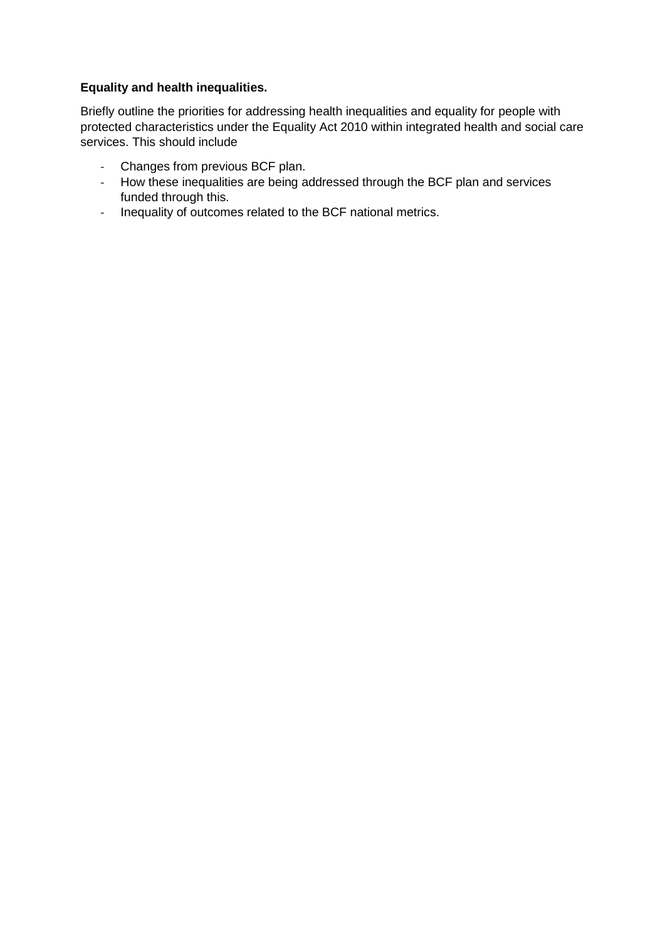## **Equality and health inequalities.**

Briefly outline the priorities for addressing health inequalities and equality for people with protected characteristics under the Equality Act 2010 within integrated health and social care services. This should include

- Changes from previous BCF plan.
- How these inequalities are being addressed through the BCF plan and services funded through this.
- Inequality of outcomes related to the BCF national metrics.